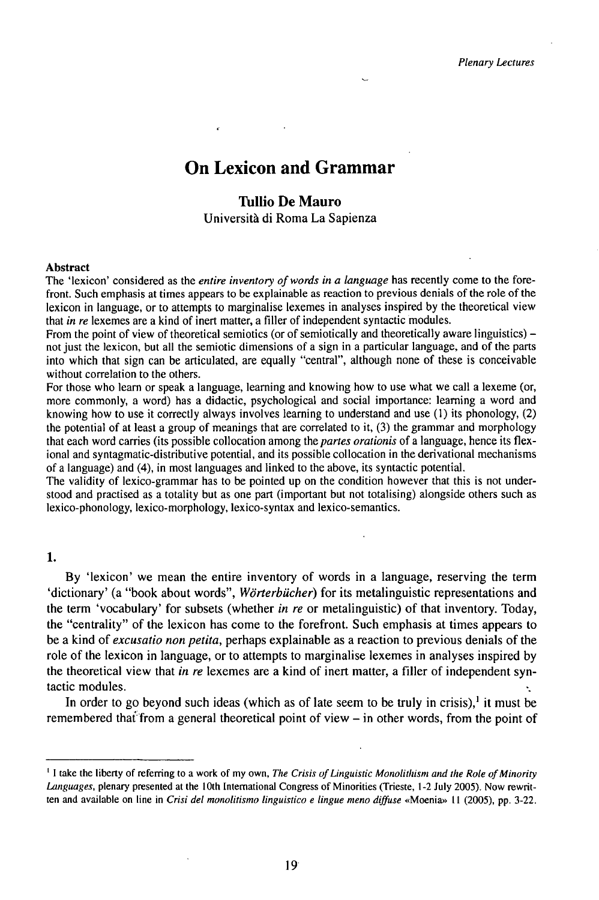# On Lexicon and Grammar

## **Tullio De Mauro**

Università di Roma La Sapienza

#### **Abstract**

The 'lexicon' considered as the *entire inventory of words in* a *language* has recently come to the forefront. Such emphasis at times appears to be explainable as reaction to previous denials of the role of the lexicon in language, or to attempts to marginalise lexemes in analyses inspired by the theoretical view that *in re* lexemes are a kind of inert matter, a filler of independent syntactic modules.

From the point of view of theoretical semiotics (or of semiotically and theoretically aware linguistics) – not just the lexicon, but all the semiotic dimensions of a sign in a particular language, and of the parts into which that sign can be articulated, are equally "central", although none of these is conceivable without correlation to the others.

For those who learn or speak a language, learning and knowing how to use what we call a lexeme (or, more commonly, a word) has a didactic, psychological and social importance: learning a word and knowing how to use it correctly always involves learning to understand and use (1) its phonology, (2) the potential of at least a group of meanings that are correlated to it, (3) the grammar and morphology that each word carries (its possible collocation among the *partes orationis* of a language, hence its flexional and syntagmatic-distributive potential, and its possible collocation in the derivational mechanisms of a language) and (4), in most languages and linked to the above, its syntactic potential.

The validity of lexico-grammar has to be pointed up on the condition however that this is not understood and practised as a totality but as one part (important but not totalising) alongside others such as lexico-phonology, lexico-morphology, lexico-syntax and lexico-semantics.

### 1.

By 'lexicon' we mean the entire inventory of words in a language, reserving the term 'dictionary' (a "book about words", *Wörterbücher)* for its metalinguistic representations and the term 'vocabulary' for subsets (whether *in re* or metalinguistic) of that inventory. Today, the "centrality" of the lexicon has come to the forefront. Such emphasis at times appears to be a kind of *excusatio non petita,* perhaps explainable as a reaction to previous denials of the role of the lexicon in language, or to attempts to marginalise lexemes in analyses inspired by the theoretical view that *in re* lexemes are a kind of inert matter, a filler of independent syntactic modules.

In order to go beyond such ideas (which as of late seem to be truly in crisis),<sup>1</sup> it must be remembered that from a general theoretical point of view  $-$  in other words, from the point of

<sup>1</sup> <sup>I</sup> take the liberty of referring to a work of my own, *The Crisis ofLinguistic Monolithism and the Role ofMinority Languages,* plenary presented at the 10th International Congress of Minorities (Trieste, 1-2 July 2005). Now rewritten and available on line in *Crisi del monolitismo linguistico e lingue meno diffuse* «Moenia» 11 (2005), pp. 3-22.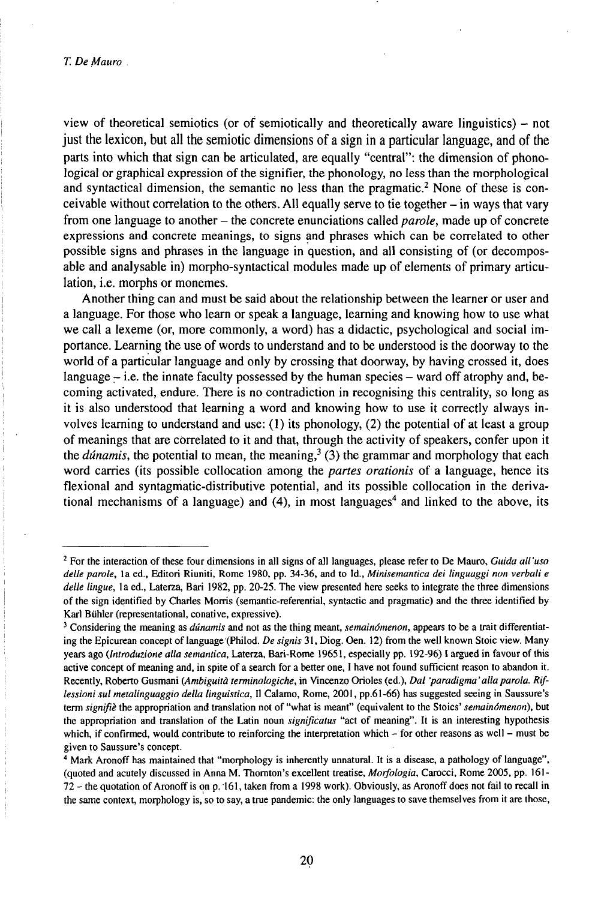view of theoretical semiotics (or of semiotically and theoretically aware linguistics)  $-$  not just the lexicon, but all the semiotic dimensions of a sign in a particular language, and of the parts into which that sign can be articulated, are equally "central": the dimension of phonological or graphical expression of the signifier, the phonology, no less than the morphological and syntactical dimension, the semantic no less than the pragmatic.<sup>2</sup> None of these is conceivable without correlation to the others. All equally serve to tie together - in ways that vary from one language to another - the concrete enunciations called *parole,* made up of concrete expressions and concrete meanings, to signsand phrases which can be correlated to other possible signs and phrases in the language in question, and all consisting of (or decomposable and analysable in) morpho-syntactical modules made up of elements of primary articulation, i.e. morphs or monemes.

Another thing can and must be said about the relationship between the learner or user and a language. For those who learn or speak a language, learning and knowing how to use what we call a lexeme (or, more commonly, a word) has a didactic, psychological and social importance. Learning the use of words to understand and to be understood is the doorway to the world of a particular language and only by crossing that doorway, by having crossed it, does language  $-$  i.e. the innate faculty possessed by the human species  $-$  ward off atrophy and, becoming activated, endure. There is no contradiction in recognising this centrality, so long as it is also understood that learning a word and knowing how to use it correctly always involves learning to understand and use:  $(1)$  its phonology,  $(2)$  the potential of at least a group of meanings that are correlated to it and that, through the activity of speakers, confer upon it the *dúnamis*, the potential to mean, the meaning,<sup>3</sup> (3) the grammar and morphology that each word carries (its possible collocation among the *partes orationis* of a language, hence its flexional and syntagmatic-distributive potential, and its possible collocation in the derivational mechanisms of a language) and (4), in most languages<sup>4</sup> and linked to the above, its

<sup>2</sup> For the interaction of these four dimensions in all signs of all languages, please refer to De Mauro, *Guida all'uso delle parole,* la ed., Editori Riuniti, Rome 1980, pp. 34-36, and to Id., *Minisemantica dei linguaggi non verbali e delle lingue,* la ed., Laterza, Bari 1982, pp. 20-25. The view presented here seeks to integrate the three dimensions of the sign identified by Charles Morris (semantic-referential, syntactic and pragmatic) and the three identified by Karl Bühler (representational, conative, expressive).

<sup>3</sup> Considering the meaning as *dúnamis* and not as the thing meant, *semainómenon,* appears to be a trait differentiating the Epicurean concept oflanguage'(Philod. *De signis* 31, Diog. Oen. 12) from the well known Stoic view. Many years ago *(Introduzione alla semantica, Laterza, Bari-Rome 19651, especially pp. 192-96) I argued in favour of this* active concept of meaning and, in spite of a search for a better one, <sup>I</sup> have not found sufficient reason to abandon it. Recently, Roberto Gusmani *(Ambiguità terminologiche,* in Vincenzo Orioles (ed.), *Dal 'paradigma'allaparola. Riflessioni sul metalinguaggio della linguistica,* <sup>11</sup> Calamo, Rome, 2001, pp.61-66) has suggested seeing in Saussure's term *signifiè* the appropriation and translation not of "what is meant" (equivalent to the Stoics' *semainómenon),* but the appropriation and translation of the Latin noun *significatus* "act of meaning". It is an interesting hypothesis which, if confirmed, would contribute to reinforcing the interpretation which – for other reasons as well – must be given to Saussure's concept.

<sup>4</sup> Mark Aronoff has maintained that "morphology is inherently unnatural. It is a disease, a pathology of language", (quoted and acutely discussed in Anna M. Thornton's excellent treatise, *Morfologia,* Carocci, Rome 2005, pp. 161- <sup>72</sup> - the quotation ofAronoff is on p. 161, taken from <sup>a</sup> <sup>1998</sup> work). Obviously, as Aronoff does not fail to recall in the same context, morphology is, so to say, a true pandemic: the only languages to save themselves from it are those,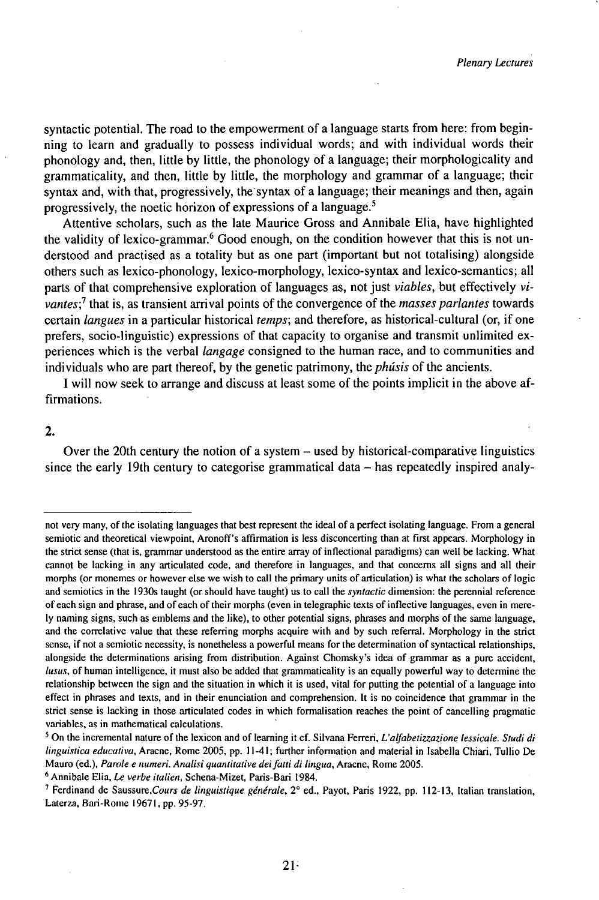syntactic potential. The road to the empowerment of a language starts from here: from beginning to learn and gradually to possess individual words; and with individual words their phonology and, then, little by little, the phonology of a language; their morphologicality and grammaticality, and then, little by little, the morphology and grammar of a language; their syntax and, with that, progressively, the syntax of a language; their meanings and then, again progressively, the noetic horizon of expressions of a language.<sup>5</sup>

Attentive scholars, such as the late Maurice Gross and Annibale Elia, have highlighted the validity of lexico-grammar.<sup>6</sup> Good enough, on the condition however that this is not understood and practised as a totality but as one part (important but not totalising) alongside others such as lexico-phonology, lexico-morphology, lexico-syntax and lexico-semantics; all parts of that comprehensive exploration of languages as, not just *viables*, but effectively *vivantes?* that is, as transient arrival points of the convergence of the *masses parlantes* towards certain *langues* in a particular historical *temps;* and therefore, as historical-cultural (or, ifone prefers, socio-linguistic) expressions of that capacity to organise and transmit unlimited experiences which is the verbal *langage* consigned to the human race, and to communities and individuals who are part thereof, by the genetic patrimony, the *phúsis* of the ancients.

I will now seek to arrange and discuss at least some of the points implicit in the above affirmations.

#### **2.**

Over the 20th century the notion of a system – used by historical-comparative linguistics since the early 19th century to categorise grammatical data  $-$  has repeatedly inspired analy-

not very many, of the isolating languages that best represent the ideal of a perfect isolating language. From a general semiotic and theoretical viewpoint, Aronoff's affirmation is less disconcerting than at first appears. Morphology in the strict sense (that is, grammar understood as the entire array of inflectional paradigms) can well be lacking. What cannot be lacking in any articulated code, and therefore in languages, and that concerns all signs and all their morphs (or monemes or however else we wish to call the primary units of articulation) is what the scholars of logic and semiotics in the 1930s taught (or should have taught) us to call the *syntactic* dimension: the perennial reference of each sign and phrase, and of each of their morphs (even in telegraphic texts of inflective languages, even in merely naming signs, such as emblems and the like), to other potential signs, phrases and morphs of the same language, and the correlative value that these referring morphs acquire with and by such referral. Morphology in the strict sense, if not a semiotic necessity, is nonetheless a powerful means for the determination of syntactical relationships, alongside the determinations arising from distribution. Against Chomsky's idea of grammar as a pure accident, *lusus,* of human intelligence, it must also be added that grammaticality is an equally powerful way to determine the relationship between the sign and the situation in which it is used, vital for putting the potential of a language into effect in phrases and texts, and in their enunciation and comprehension. It is no coincidence that grammar in the strict sense is lacking in those articulated codes in which formalisation reaches the point of cancelling pragmatic variables, as in mathematical calculations.

<sup>5</sup> On the incremental nature of the lexicon and of learning it cf. Silvana Ferreri, *L'alfabetizzazione lessicale. Studi di linguistica educativa,* Aracne, Rome 2005, pp. 11-41; further information and material in Isabella Chiari, Tullio De Mauro (ed.), *Parole e numeri. Analisi quantitative deifatti di lingua,* Aracne, Rome 2005.

<sup>6</sup> Annibale Elia, *Le verbe italien,* Schena-Mizet, Paris-Bari 1984.

<sup>&</sup>lt;sup>7</sup> Ferdinand de Saussure, Cours de linguistique générale, 2° ed., Payot, Paris 1922, pp. 112-13, Italian translation, Laterza, Bari-Rome 19671, pp. 95-97.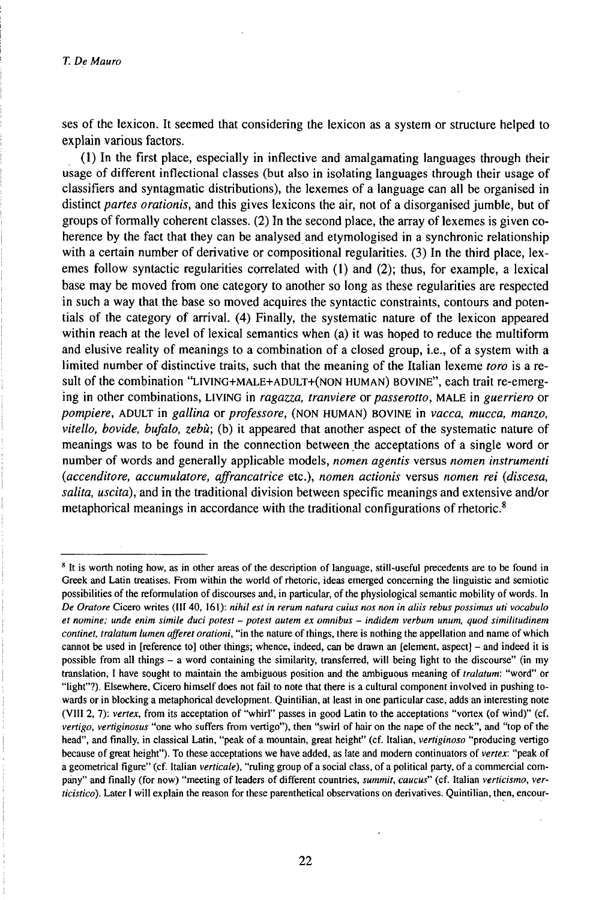ses of the lexicon. It seemed that considering the lexicon as a system or structure helped to explain various factors.

(1) In the first place, especially in inflective and amalgamating languages through their usage of different inflectional classes (but also in isolating languages through their usage of classifiers and syntagmatic distributions), the lexemes of a language can all be organised in distinct *partes orationis,* and this gives lexicons the air, not of a disorganised jumble, but of groups of formally coherent classes. (2) In the second place, the array of lexemes is given coherence by the fact that they can be analysed and etymologised in a synchronic relationship with a certain number of derivative or compositional regularities. (3) In the third place, lexemes follow syntactic regularities correlated with (1) and (2); thus, for example, a lexical base may be moved from one category to another so long as these regularities are respected in such a way that the base so moved acquires the syntactic constraints, contours and potentials of the category of arrival. (4) Finally, the systematic nature of the lexicon appeared within reach at the level of lexical semantics when (a) it was hoped to reduce the multiform and elusive reality of meanings to a combination of a closed group, i.e., of a system with a limited number of distinctive traits, such that the meaning of the Italian lexeme *toro* is a result of the combination "LiviNG+MALE+ADULT+(NON HUMAN) BOVINE", each trait re-emerging in other combinations, LiviNG in *ragazza, tranviere* or *passerotto,* MALE in *guerriero* or *pompiere,* ADULT in *gallina* or *professore,* (NON HUMAN) BOVINE in *vacca, mucca, manzo, vitello, bovide, bufalo, zebù;* (b) it appeared that another aspect of the systematic nature of meanings was to be found in the connection between the acceptations of a single word or number of words and generally applicable models, *nomen agentis* versus *nomen instrumenti {accenditore, accumulatore, affrancatrice* etc.), *nomen actionis* versus *nomen rei (discesa, salita, uscita),* and in the traditional division between specific meanings and extensive and/or metaphorical meanings in accordance with the traditional configurations of rhetoric.<sup>8</sup>

<sup>&</sup>lt;sup>8</sup> It is worth noting how, as in other areas of the description of language, still-useful precedents are to be found in Greek and Latin treatises. From within the world of rhetoric, ideas emerged concerning the linguistic and semiotic possibilities of the reformulation of discourses and, in particular, of the physiological semantic mobility of words. In De Oratore Cicero writes (III 40, 161): nihil est in rerum natura cuius nos non in aliis rebus possimus uti vocabulo et nomine; unde enim simile duci potest - potest autem ex omnibus - indidem verbum unum, quod similitudinem *continet, tralatum lumen afferet orationi,* "in the nature ofthings, there is nothing the appellation and name ofwhich cannot be used in [reference to] other things; whence, indeed, can be drawn an [element, aspect] – and indeed it is possible from all things - <sup>a</sup> word containing the similarity, transferred, will being light to the discourse" (in my translation, <sup>I</sup> have sought to maintain the ambiguous position and the ambiguous meaning of *tralatum:* "word" or "light"?). Elsewhere, Cicero himself does not fail to note that there is a cultural component involved in pushing towards or in blocking a metaphorical development. Quintilian, at least in one particular case, adds an interesting note (VIII 2, 7): *vertex,* from its acceptation of "whirl" passes in good Latin to the acceptations "vortex (of wind)" (cf. *vertigo, vertiginosus* "one who suffers from vertigo"), then "swirl of hair on the nape of the neck", and "top of the head", and finally, in classical Latin, "peak of a mountain, great height" (cf. Italian, *vertiginoso* "producing vertigo because of great height"). To these acceptations we have added, as late and modern continuators of vertex: "peak of a geometrical figure" (cf. Italian verticale), "ruling group of a social class, of a political party, of a commercial company" and finally (for now) "meeting of leaders of different countries, *summit, caucus"* (cf. Italian *verticismo, verticistico).* Later I will explain the reason for these parenthetical observations on derivatives. Quintilian, then, encour-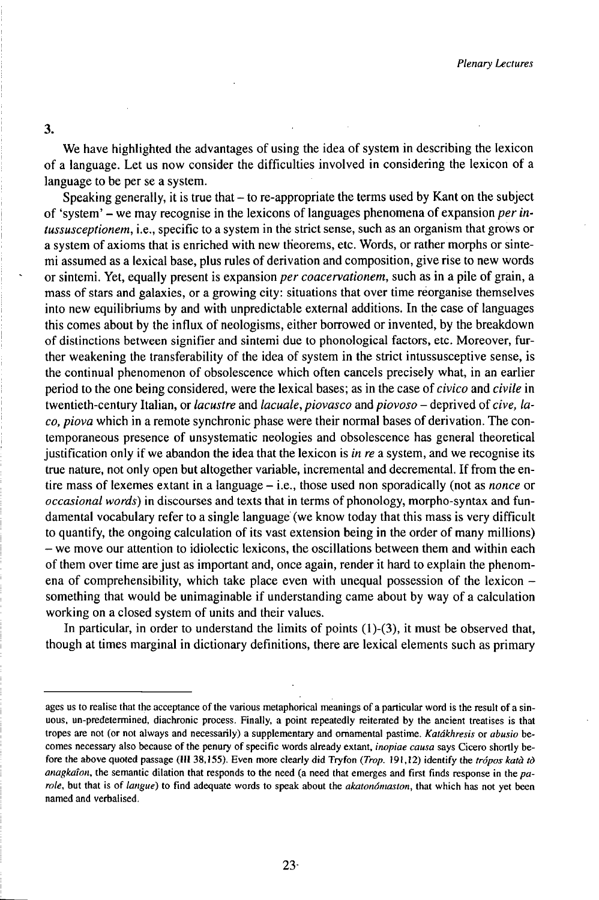3.

We have highlighted the advantages of using the idea of system in describing the lexicon of a language. Let us now consider the difficulties involved in considering the lexicon of a language to be per se a system.

Speaking generally, it is true that  $-$  to re-appropriate the terms used by Kant on the subject of 'system' - we may recognise in the lexicons of languages phenomena of expansion *per intussusceptionem,* i.e., specific to a system in the strict sense, such as an organism that grows or a system of axioms that is enriched with new theorems, etc. Words, or rather morphs or sintemi assumed as a lexical base, plus rules of derivation and composition, give rise to new words or sintemi. Yet, equally present is expansion *per coacervationem,* such as in a pile of grain, a mass of stars and galaxies, or a growing city: situations that over time reorganise themselves into new equilibriums by and with unpredictable external additions. In the case of languages this comes about by the influx of neologisms, either borrowed or invented, by the breakdown of distinctions between signifier and sintemi due to phonological factors, etc. Moreover, further weakening the transferability of the idea of system in the strict intussusceptive sense, is the continual phenomenon of obsolescence which often cancels precisely what, in an earlier period to the one being considered, were the lexical bases; as in the case of *civico* and *civile* in twentieth-century Italian, or *lacustre* and *lacuale, piovasco* and *piovoso* - deprived of *cive, laco, piova* which in a remote synchronic phase were their normal bases of derivation. The contemporaneous presence of unsystematic neologies and obsolescence has general theoretical justification only if we abandon the idea that the lexicon is *in re* a system, and we recognise its true nature, not only open but altogether variable, incremental and decremental. Iffrom the entire mass of lexemes extant in <sup>a</sup> language - i.e., those used non sporadically (not as *nonce* or *occasional words*) in discourses and texts that in terms of phonology, morpho-syntax and fundamental vocabulary refer to a single language (we know today that this mass is very difficult to quantify, the ongoing calculation of its vast extension being in the order of many millions) - we move our attention to idiolectic lexicons, the oscillations between them and within each of them over time are just as important and, once again, render it hard to explain the phenomena of comprehensibility, which take place even with unequal possession of the lexicon  $$ something that would be unimaginable if understanding came about by way of a calculation working on a closed system of units and their values.

In particular, in order to understand the limits of points (l)-(3), it must be observed that, though at times marginal in dictionary definitions, there are lexical elements such as primary

ages us to realise that the acceptance of the various metaphorical meanings of a particular word is the result of a sinuous, un-predetermined, diachronic process. Finally, a point repeatedly reiterated by the ancient treatises is that tropes are not (or not always and necessarily) a supplementary and ornamental pastime. *Katákhresis* or *abusio* becomes necessary also because of the penury of specific words already extant, *inopiae causa* says Cicero shortly before the above quoted passage (III 38,155). Even more clearly did Tryfon *(Trop.* 191,12) identify the *trópos katà tò anagkaîon,* the semantic dilation that responds to the need (a need that emerges and first finds response in the *parole,* but that is of *langue)* to find adequate words to speak about the *akatonómaston,* that which has not yet been named and verbalised.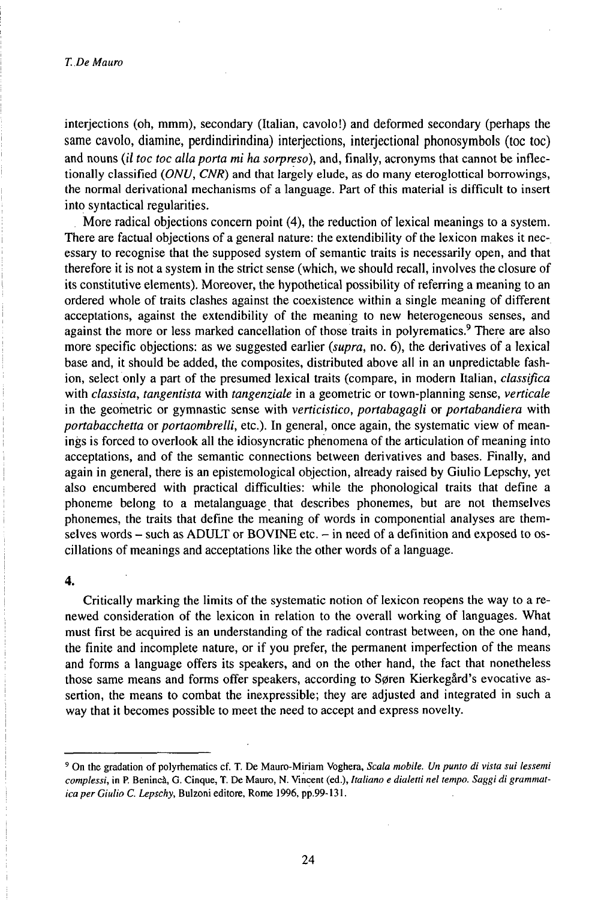#### *T. De Mauro*

interjections (oh, mmm), secondary (Italian, cavolo!) and deformed secondary (perhaps the same cavolo, diamine, perdindirindina) interjections, interjectional phonosymbols (toc toc) and nouns *(il toc toc allaporta mi ha sorpreso),* and, finally, acronyms that cannot be inflectionally classified *(ONU, CNR)* and that largely elude, as do many eteroglottical borrowings, the normal derivational mechanisms of a language. Part of this material is difficult to insert into syntactical regularities.

More radical objections concern point (4), the reduction of lexical meanings to a system. There are factual objections of a general nature: the extendibility of the lexicon makes it necessary to recognise that the supposed system of semantic traits is necessarily open, and that therefore it is not a system in the strict sense (which, we should recall, involves the closure of its constitutive elements). Moreover, the hypothetical possibility of referring a meaning to an ordered whole of traits clashes against the coexistence within a single meaning of different acceptations, against the extendibility of the meaning to new heterogeneous senses, and against the more or less marked cancellation of those traits in polyrematics.<sup>9</sup> There are also more specific objections: as we suggested earlier *(supra,* no. 6), the derivatives of a lexical base and, it should be added, the composites, distributed above all in an unpredictable fashion, select only a part of the presumed lexical traits (compare, in modern Italian, *classifica* with *classista, tangentista* with *tangenziale* in a geometric or town-planning sense, *verticale* in the geometric or gymnastic sense with *verticistico, portabagagli* or *portabandiera* with *portabacchetta* or *portaombrelli,* etc.). In general, once again, the systematic view of meanings is forced to overlook all the idiosyncratic phenomena of the articulation of meaning into acceptations, and of the semantic connections between derivatives and bases. Finally, and again in general, there is an epistemological objection, already raised by Giulio Lepschy, yet also encumbered with practical difficulties: while the phonological traits that define a phoneme belong to a metalanguage that describes phonemes, but are not themselves phonemes, the traits that define the meaning of words in componential analyses are themselves words - such as ADULT or BOVINE etc. - in need of a definition and exposed to oscillations of meanings and acceptations like the other words of a language.

#### **4.**

Critically marking the limits of the systematic notion of lexicon reopens the way to a renewed consideration of the lexicon in relation to the overall working of languages. What must first be acquired is an understanding of the radical contrast between, on the one hand, the finite and incomplete nature, or if you prefer, the permanent imperfection of the means and forms a language offers its speakers, and on the other hand, the fact that nonetheless those same means and forms offer speakers, according to Søren Kierkegård's evocative assertion, the means to combat the inexpressible; they are adjusted and integrated in such a way that it becomes possible to meet the need to accept and express novelty.

<sup>9</sup> On the gradation of polyrhematics cf. T. De Mauro-Miriam Voghera, *Scala mobile. Un punto di vista sui lessemi complessi,* in P. Benincà, G. Cinque, T. De Mauro, N. Vincent (ed.), *Italiano e dialetti nel tempo. Saggi di grammatica per Giulio C. Lepschy,* Bulzoni editore, Rome 1996, pp.99-131.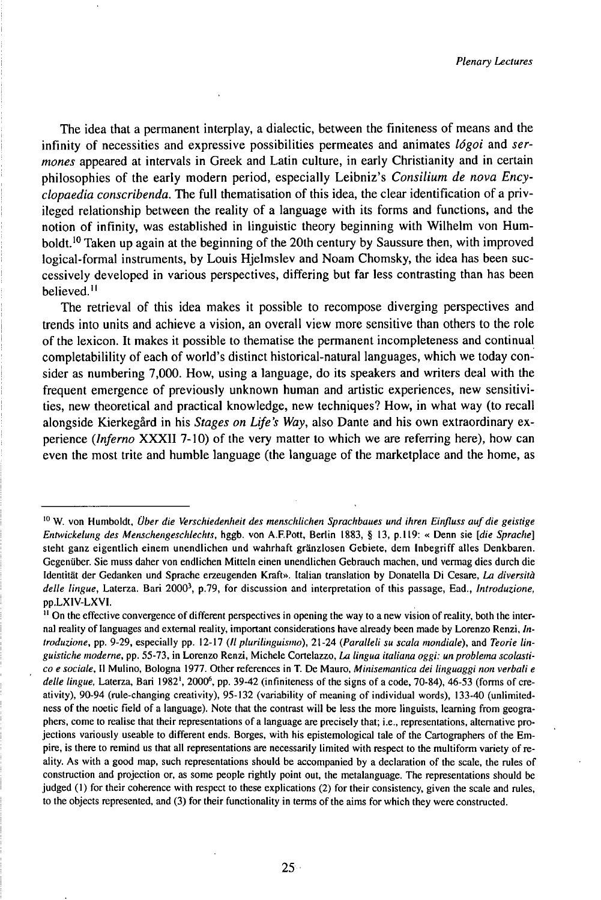The idea that a permanent interplay, a dialectic, between the finiteness of means and the infinity of necessities and expressive possibilities permeates and animates *lógoi* and *sermones* appeared at intervals in Greek and Latin culture, in early Christianity and in certain philosophies of the early modern period, especially Leibniz's *Consilium de nova Encyclopaedia conscribenda.* The full thematisation of this idea, the clear identification of a privileged relationship between the reality of a language with its forms and functions, and the notion of infinity, was established in linguistic theory beginning with Wilhelm von Humboldt.<sup>10</sup> Taken up again at the beginning of the 20th century by Saussure then, with improved logical-formal instruments, by Louis Hjelmslev and Noam Chomsky, the idea has been successively developed in various perspectives, differing but far less contrasting than has been believed.<sup>11</sup>

The retrieval of this idea makes it possible to recompose diverging perspectives and trends into units and achieve a vision, an overall view more sensitive than others to the role of the lexicon. It makes it possible to thematise the permanent incompleteness and continual completabilility of each of world's distinct historical-natural languages, which we today consider as numbering 7,000. How, using a language, do its speakers and writers deal with the frequent emergence of previously unknown human and artistic experiences, new sensitivities, new theoretical and practical knowledge, new techniques? How, in what way (to recall alongside Kierkegård in his *Stages on Life's Way,* also Dante and his own extraordinary experience *(Inferno* XXXII 7-10) of the very matter to which we are referring here), how can even the most trite and humble language (the language of the marketplace and the home, as

<sup>10</sup> W. von Humboldt, *Über die Verschiedenheil des menschlichen Sprachbaues und ihren Einfluss aufdie geistige Entwickelung des Menschengeschlechts,* hggb. von A.F.Pott, Berlin 1883, § 13, p.ll9: « Denn sie *[die Sprache]* steht ganz eigentlich einem unendlichen und wahrhaft gränzlosen Gebiete, dem Inbegriff alles Denkbaren. Gegenüber. Sie muss daher von endlichen Mitteln einen unendlichen Gebrauch machen, und vermag dies durch die Identität der Gedanken und Sprache erzeugenden Kraft». Italian translation by Donatella Di Cesare, *La diversità* delle lingue, Laterza. Bari 2000<sup>3</sup>, p.79, for discussion and interpretation of this passage, Ead., *Introduzione* pp.LXIV-LXVI.

<sup>&</sup>lt;sup>11</sup> On the effective convergence of different perspectives in opening the way to a new vision of reality, both the internal reality of languages and external reality, important considerations have already been made by Lorenzo Renzi, *Introduzione,* pp. 9-29, especially pp. 12-17 *(llplurilinguismo),* 21-24 *(Paralleli su scala mondiale),* and *Teorie linguistiche moderne,* pp. 55-73, in Lorenzo Renzi, Michele Cortelazzo, *La lingua italiana oggi: unproblema scolastico e sociale,* <sup>11</sup> Mulino, Bologna 1977. Other references in T. De Mauro, *Minisemantica dei linguaggi non verbali e* delle lingue, Laterza, Bari 1982<sup>1</sup>, 2000<sup>6</sup>, pp. 39-42 (infiniteness of the signs of a code, 70-84), 46-53 (forms of creativity), 90-94 (rule-changing creativity), 95-132 (variability of meaning of individual words), 133-40 (unlimitedness of the noetic field of a language). Note that the contrast will be less the more linguists, learning from geographers, come to realise that their representations ofa language are precisely that; i.e., representations, alternative projections variously useable to different ends. Borges, with his epistemological tale of the Cartographers of the Empire, is there to remind us that all representations are necessarily limited with respect to the multiform variety ofreality. As with a good map, such representations should be accompanied by a declaration of the scale, the rules of construction and projection or, as some people rightly point out, the metalanguage. The representations should be judged (1) for their coherence with respect to these explications (2) for their consistency, given the scale and rules, to the objects represented, and (3) for their functionality in terms of the aims for which they were constructed.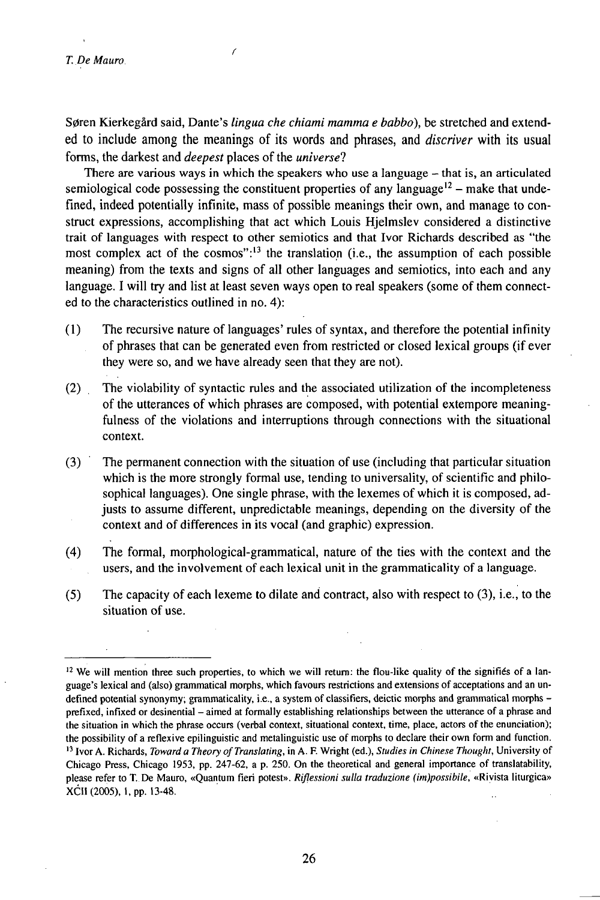S0ren Kierkegård said, Dante's *lingua che chiami mamma e babbo),* be stretched and extended to include among the meanings of its words and phrases, and *discriver* with its usual forms, the darkest and *deepest* places of the *universe?*

There are various ways in which the speakers who use <sup>a</sup> language - that is, an articulated semiological code possessing the constituent properties of any language<sup>12</sup> – make that undefined, indeed potentially infinite, mass of possible meanings their own, and manage to construct expressions, accomplishing that act which Louis Hjelmslev considered a distinctive trait of languages with respect to other semiotics and that Ivor Richards described as "the most complex act of the cosmos": $13$  the translation (i.e., the assumption of each possible meaning) from the texts and signs of all other languages and semiotics, into each and any language. I will try and list at least seven ways open to real speakers (some of them connected to the characteristics outlined in no. 4):

- (1) The recursive nature of languages' rules of syntax, and therefore the potential infinity of phrases that can be generated even from restricted or closed lexical groups (if ever they were so, and we have already seen that they are not).
- (2) The violability of syntactic rules and the associated utilization of the incompleteness of the utterances of which phrases are composed, with potential extempore meaningfulness of the violations and interruptions through connections with the situational context.
- (3) The permanent connection with the situation of use (including that particular situation which is the more strongly formal use, tending to universality, of scientific and philosophical languages). One single phrase, with the lexemes of which it is composed, adjusts to assume different, unpredictable meanings, depending on the diversity of the context and of differences in its vocal (and graphic) expression.
- (4) The formal, morphological-grammatical, nature of the ties with the context and the users, and the involvement of each lexical unit in the grammaticality of a language.
- (5) The capacity of each lexeme to dilate and contract, also with respect to (3), i.e., to the situation of use.

 $12$  We will mention three such properties, to which we will return: the flou-like quality of the signifies of a language's lexical and (also) grammatical morphs, which favours restrictions and extensions of acceptations and an undefined potential synonymy; grammaticality, i.e., a system of classifiers, deictic morphs and grammatical morphs – prefixed, infixed or desinential - aimed at formally establishing relationships between the utterance of <sup>a</sup> phrase and the situation in which the phrase occurs (verbal context, situational context, time, place, actors of the enunciation); the possibility of a reflexive epilinguistic and metalinguistic use of morphs to declare their own form and function. <sup>13</sup> Ivor A. Richards, *Toward a Theory ofTranslating,* in A. F. Wright (ed.), *Studies in Chinese Thought,* University of Chicago Press, Chicago 1953, pp. 247-62, a p. 250. On the theoretical and general importance of translatability, please refer to T.De Mauro, «Quantum fieri potest». *Riflessioni sulla traduzione (im)possibile,* «Rivista liturgica» XCII(2005),l,pp.l3-48.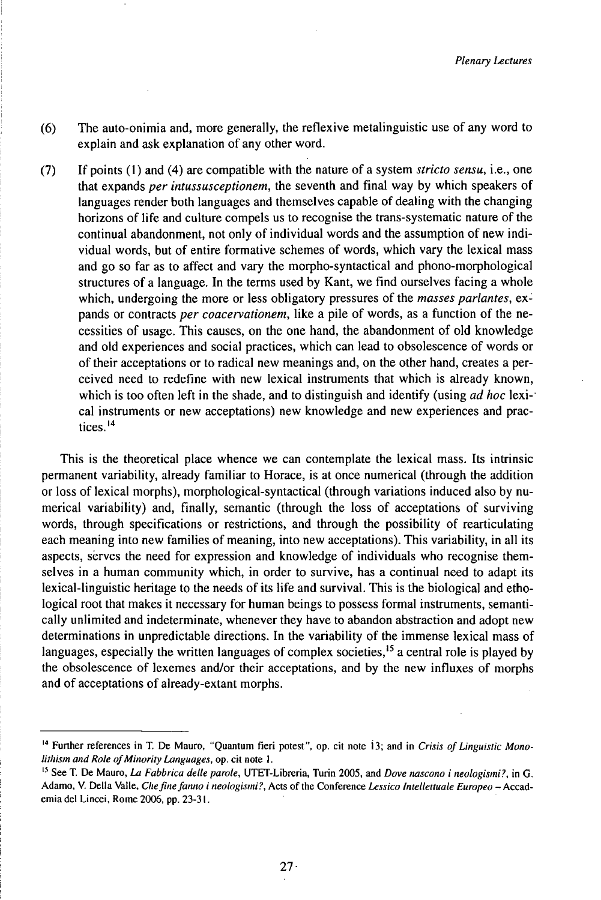- (6) The auto-onimia and, more generally, the reflexive metalinguistic use of any word to explain and ask explanation of any other word.
- (7) If points (1) and (4) are compatible with the nature of a system *stricto sensu,* i.e., one that expands *per intussusceptionem,* the seventh and final way by which speakers of languages render both languages and themselves capable of dealing with the changing horizons of life and culture compels us to recognise the trans-systematic nature of the continual abandonment, not only of individual words and the assumption of new individual words, but of entire formative schemes of words, which vary the lexical mass and go so far as to affect and vary the morpho-syntactical and phono-morphological structures of a language. In the terms used by Kant, we find ourselves facing a whole which, undergoing the more or less obligatory pressures of the *masses parlantes,* expands or contracts *per coacervationem,* like a pile of words, as a function of the necessities of usage. This causes, on the one hand, the abandonment of old knowledge and old experiences and social practices, which can lead to obsolescence of words or of their acceptations or to radical new meanings and, on the other hand, creates a perceived need to redefine with new lexical instruments that which is already known, which is too often left in the shade, and to distinguish and identify (using *ad hoc* lexical instruments or new acceptations) new knowledge and new experiences and prac-<br>tices.<sup>14</sup>

This is the theoretical place whence we can contemplate the lexical mass. Its intrinsic permanent variability, already familiar to Horace, is at once numerical (through the addition or loss of lexical morphs), morphological-syntactical (through variations induced also by numerical variability) and, finally, semantic (through the loss of acceptations of surviving words, through specifications or restrictions, and through the possibility of rearticulating each meaning into new families of meaning, into new acceptations). This variability, in all its aspects, sërves the need for expression and knowledge of individuals who recognise themselves in a human community which, in order to survive, has a continual need to adapt its lexical-linguistic heritage to the needs of its life and survival. This is the biological and ethological root that makes it necessary for human beings to possess formal instruments, semantically unlimited and indeterminate, whenever they have to abandon abstraction and adopt new determinations in unpredictable directions. In the variability of the immense lexical mass of languages, especially the written languages of complex societies,<sup>15</sup> a central role is played by the obsolescence of lexemes and/or their acceptations, and by the new influxes of morphs and of acceptations of already-extant morphs.

<sup>&</sup>lt;sup>14</sup> Further references in T. De Mauro, "Quantum fieri potest", op. cit note 13; and in *Crisis of Linguistic Monolithism and Role ofMinority Languages,* op. cit note 1.

<sup>15</sup> See T. De Mauro, *La Fabbrica delle parole,* UTET-Libreria, Turin 2005, and *Dove nascono i neologismi?,* in G. Adamo, V. Della Valle, *Che fine fanno i neologismi?*, Acts of the Conference Lessico Intellettuale Europeo - Accademia del Lincei, Rome 2006, pp. 23-31.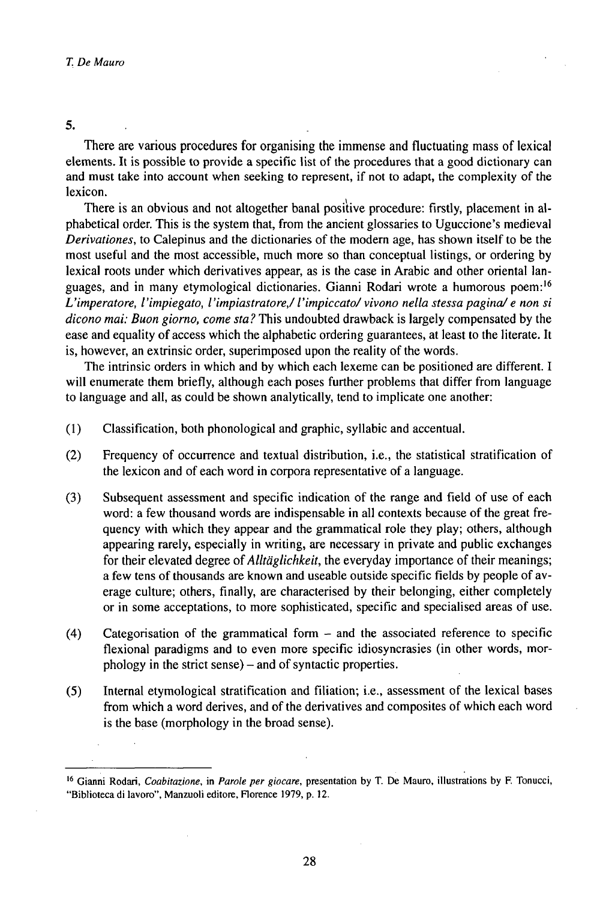#### 5.

There are various procedures for organising the immense and fluctuating mass of lexical elements. It is possible to provide a specific list of the procedures that a good dictionary can and must take into account when seeking to represent, if not to adapt, the complexity of the lexicon.

There is an obvious and not altogether banal positive procedure: firstly, placement in alphabetical order. This is the system that, from the ancient glossaries to Uguccione's medieval *Derivationes,* to Calepinus and the dictionaries of the modern age, has shown itself to be the most useful and the most accessible, much more so than conceptual listings, or ordering by lexical roots under which derivatives appear, as is the case in Arabic and other oriental languages, and in many etymological dictionaries. Gianni Rodari wrote a humorous poem:<sup>16</sup> *L'imperatore, l'impiegato, l'impiastratore,/l'impiccato/vivono nella stessapagina/e non si dicono mai: Buon giorno, come sta?* This undoubted drawback is largely compensated by the ease and equality of access which the alphabetic ordering guarantees, at least to the literate. It is, however, an extrinsic order, superimposed upon the reality of the words.

The intrinsic orders in which and by which each lexeme can be positioned are different. I will enumerate them briefly, although each poses further problems that differ from language to language and all, as could be shown analytically, tend to implicate one another:

- (1) Classification, both phonological and graphic, syllabic and accentual.
- (2) Frequency of occurrence and textual distribution, i.e., the statistical stratification of the lexicon and of each word in corpora representative of a language.
- (3) Subsequent assessment and specific indication of the range and field of use of each word: a few thousand words are indispensable in all contexts because of the great frequency with which they appear and the grammatical role they play; others, although appearing rarely, especially in writing, are necessary in private and public exchanges for their elevated degree of *Alltäglichkeit*, the everyday importance of their meanings; a few tens of thousands are known and useable outside specific fields by people of average culture; others, finally, are characterised by their belonging, either completely or in some acceptations, to more sophisticated, specific and specialised areas of use.
- (4) Categorisation of the grammatical form and the associated reference to specific flexional paradigms and to even more specific idiosyncrasies (in other words, morphology in the strict sense) - and of syntactic properties.
- (5) Internal etymological stratification and filiation; i.e., assessment of the lexical bases from which a word derives, and of the derivatives and composites of which each word is the base (morphology in the broad sense).

<sup>16</sup> Gianni Rodari, *Coabitazione,* in *Parole per giocare,* presentation by T. De Mauro, illustrations by F. Tonucci, "Biblioteca di lavoro", Manzuoli editore, Florence 1979, p. 12.